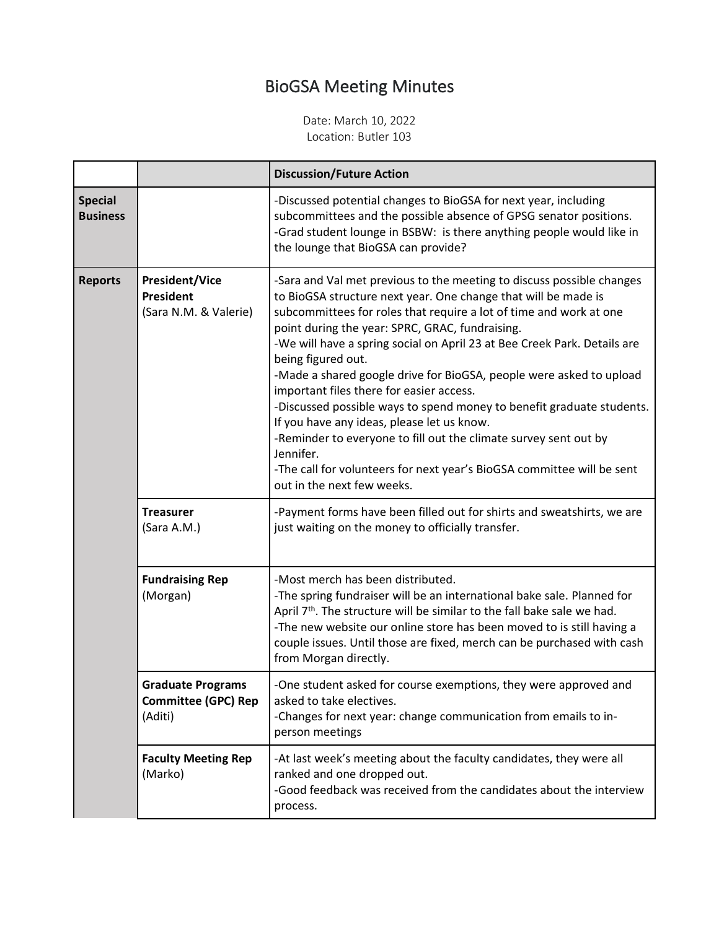## BioGSA Meeting Minutes

Date: March 10, 2022 Location: Butler 103

|                                   |                                                                   | <b>Discussion/Future Action</b>                                                                                                                                                                                                                                                                                                                                                                                                                                                                                                                                                                                                                                                                                                                                                                       |
|-----------------------------------|-------------------------------------------------------------------|-------------------------------------------------------------------------------------------------------------------------------------------------------------------------------------------------------------------------------------------------------------------------------------------------------------------------------------------------------------------------------------------------------------------------------------------------------------------------------------------------------------------------------------------------------------------------------------------------------------------------------------------------------------------------------------------------------------------------------------------------------------------------------------------------------|
| <b>Special</b><br><b>Business</b> |                                                                   | -Discussed potential changes to BioGSA for next year, including<br>subcommittees and the possible absence of GPSG senator positions.<br>-Grad student lounge in BSBW: is there anything people would like in<br>the lounge that BioGSA can provide?                                                                                                                                                                                                                                                                                                                                                                                                                                                                                                                                                   |
| <b>Reports</b>                    | <b>President/Vice</b><br>President<br>(Sara N.M. & Valerie)       | -Sara and Val met previous to the meeting to discuss possible changes<br>to BioGSA structure next year. One change that will be made is<br>subcommittees for roles that require a lot of time and work at one<br>point during the year: SPRC, GRAC, fundraising.<br>-We will have a spring social on April 23 at Bee Creek Park. Details are<br>being figured out.<br>-Made a shared google drive for BioGSA, people were asked to upload<br>important files there for easier access.<br>-Discussed possible ways to spend money to benefit graduate students.<br>If you have any ideas, please let us know.<br>-Reminder to everyone to fill out the climate survey sent out by<br>Jennifer.<br>-The call for volunteers for next year's BioGSA committee will be sent<br>out in the next few weeks. |
|                                   | <b>Treasurer</b><br>(Sara A.M.)                                   | -Payment forms have been filled out for shirts and sweatshirts, we are<br>just waiting on the money to officially transfer.                                                                                                                                                                                                                                                                                                                                                                                                                                                                                                                                                                                                                                                                           |
|                                   | <b>Fundraising Rep</b><br>(Morgan)                                | -Most merch has been distributed.<br>-The spring fundraiser will be an international bake sale. Planned for<br>April 7 <sup>th</sup> . The structure will be similar to the fall bake sale we had.<br>-The new website our online store has been moved to is still having a<br>couple issues. Until those are fixed, merch can be purchased with cash<br>from Morgan directly.                                                                                                                                                                                                                                                                                                                                                                                                                        |
|                                   | <b>Graduate Programs</b><br><b>Committee (GPC) Rep</b><br>(Aditi) | -One student asked for course exemptions, they were approved and<br>asked to take electives.<br>-Changes for next year: change communication from emails to in-<br>person meetings                                                                                                                                                                                                                                                                                                                                                                                                                                                                                                                                                                                                                    |
|                                   | <b>Faculty Meeting Rep</b><br>(Marko)                             | -At last week's meeting about the faculty candidates, they were all<br>ranked and one dropped out.<br>-Good feedback was received from the candidates about the interview<br>process.                                                                                                                                                                                                                                                                                                                                                                                                                                                                                                                                                                                                                 |